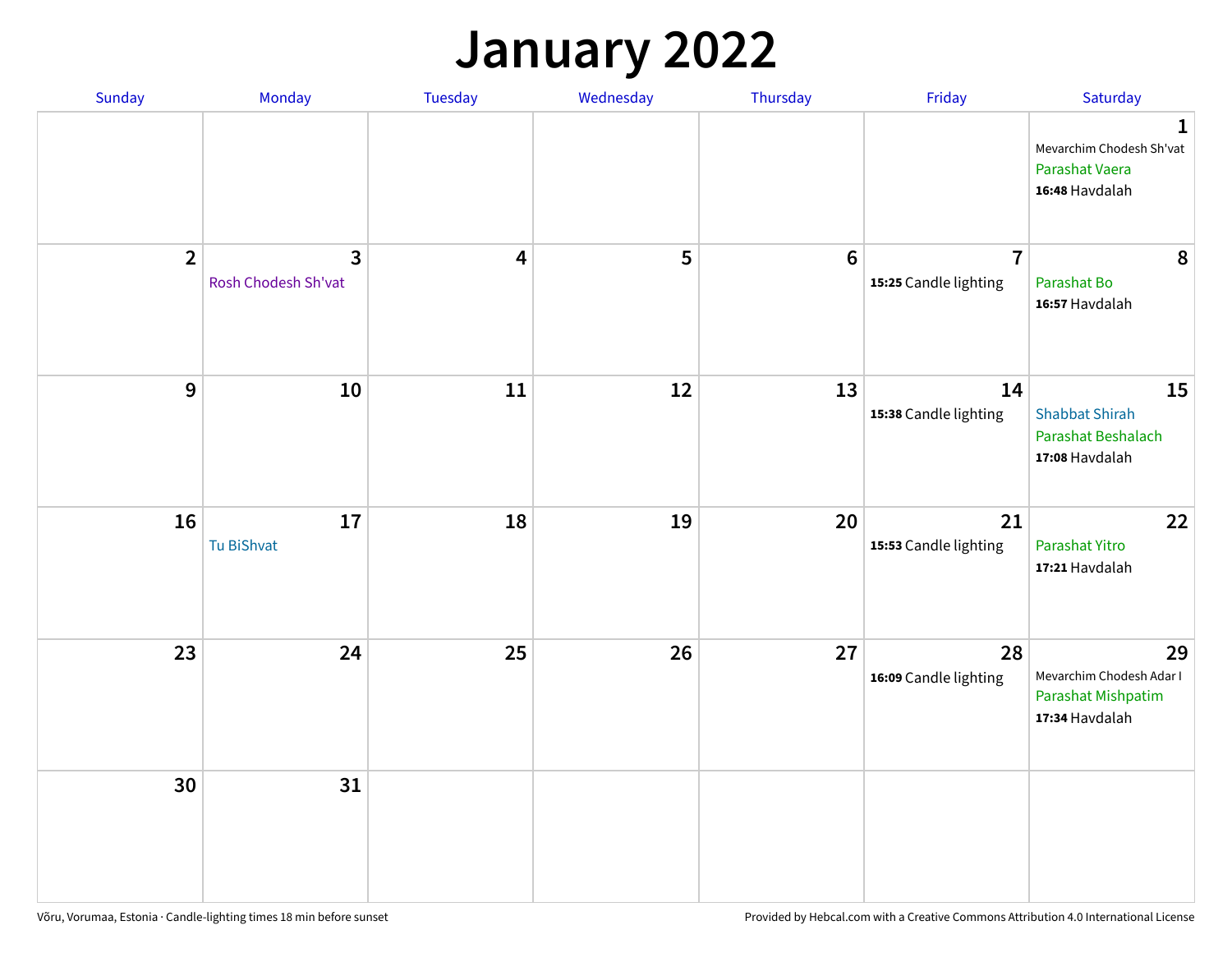## **January 2022**

| Sunday         | Monday                                | Tuesday                 | Wednesday | Thursday         | Friday                                  | Saturday                                                                     |
|----------------|---------------------------------------|-------------------------|-----------|------------------|-----------------------------------------|------------------------------------------------------------------------------|
|                |                                       |                         |           |                  |                                         | $\mathbf{1}$<br>Mevarchim Chodesh Sh'vat<br>Parashat Vaera<br>16:48 Havdalah |
| $\overline{2}$ | $\overline{3}$<br>Rosh Chodesh Sh'vat | $\overline{\mathbf{4}}$ | 5         | $\boldsymbol{6}$ | $\overline{7}$<br>15:25 Candle lighting | 8<br>Parashat Bo<br>16:57 Havdalah                                           |
| $\mathbf{9}$   | 10                                    | $11\,$                  | 12        | 13               | 14<br>15:38 Candle lighting             | 15<br><b>Shabbat Shirah</b><br>Parashat Beshalach<br>17:08 Havdalah          |
| 16             | 17<br><b>Tu BiShvat</b>               | 18                      | 19        | 20               | 21<br>15:53 Candle lighting             | 22<br>Parashat Yitro<br>17:21 Havdalah                                       |
| 23             | 24                                    | 25                      | 26        | 27               | 28<br>16:09 Candle lighting             | 29<br>Mevarchim Chodesh Adar I<br>Parashat Mishpatim<br>17:34 Havdalah       |
| 30             | 31                                    |                         |           |                  |                                         |                                                                              |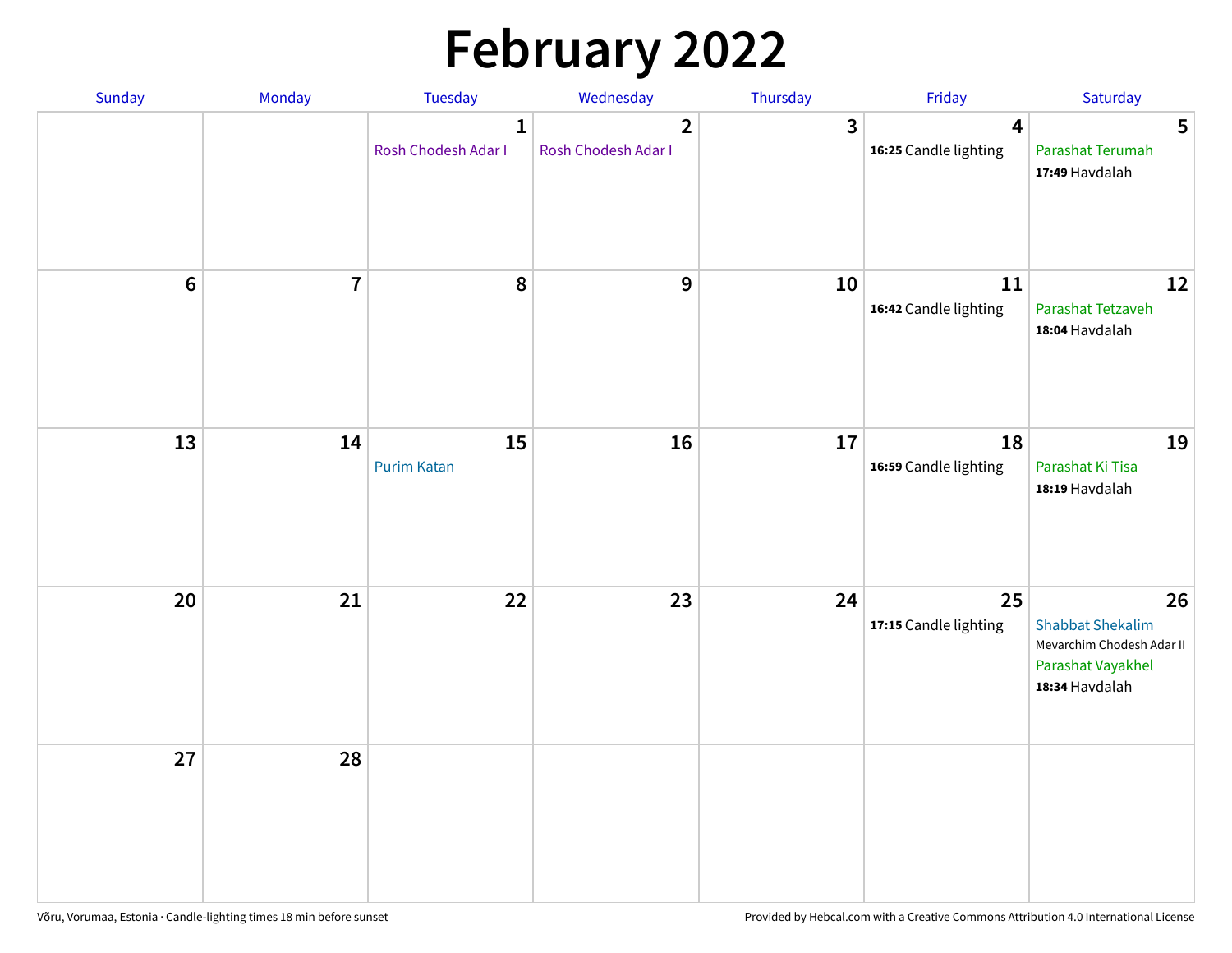# **February 2022**

| Sunday | Monday                  | <b>Tuesday</b>                      | Wednesday                             | Thursday | Friday                                           | Saturday                                                                                          |
|--------|-------------------------|-------------------------------------|---------------------------------------|----------|--------------------------------------------------|---------------------------------------------------------------------------------------------------|
|        |                         | $\mathbf{1}$<br>Rosh Chodesh Adar I | $\overline{2}$<br>Rosh Chodesh Adar I | 3        | $\overline{\mathbf{4}}$<br>16:25 Candle lighting | 5<br>Parashat Terumah<br>17:49 Havdalah                                                           |
| $6\,$  | $\overline{\mathbf{7}}$ | 8                                   | $\boldsymbol{9}$                      | 10       | 11<br>16:42 Candle lighting                      | 12<br>Parashat Tetzaveh<br>18:04 Havdalah                                                         |
| 13     | 14                      | 15<br><b>Purim Katan</b>            | 16                                    | 17       | 18<br>16:59 Candle lighting                      | 19<br>Parashat Ki Tisa<br>18:19 Havdalah                                                          |
| 20     | 21                      | 22                                  | 23                                    | 24       | 25<br>17:15 Candle lighting                      | 26<br><b>Shabbat Shekalim</b><br>Mevarchim Chodesh Adar II<br>Parashat Vayakhel<br>18:34 Havdalah |
| 27     | 28                      |                                     |                                       |          |                                                  |                                                                                                   |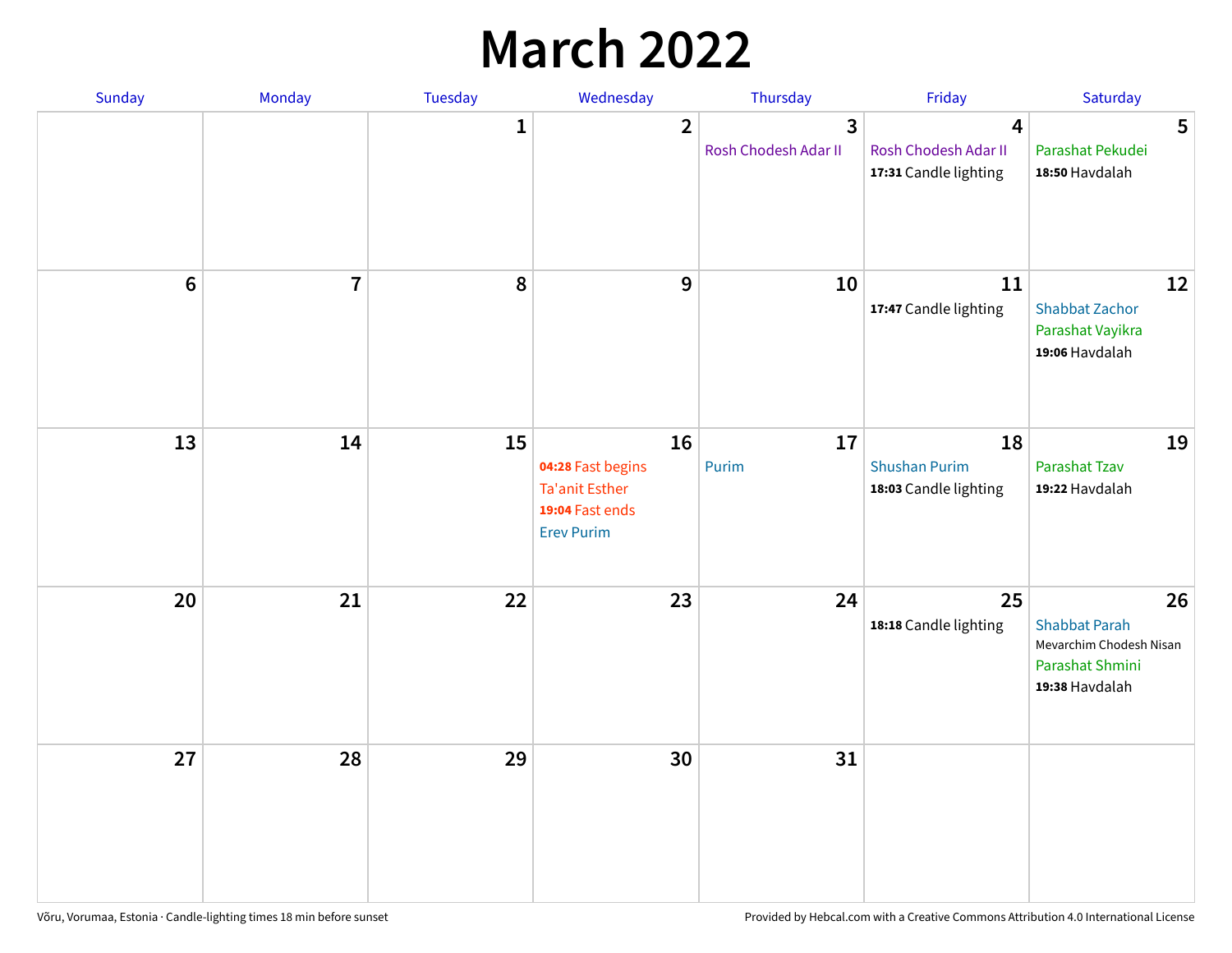## **March 2022**

| Sunday         | Monday         | Tuesday      | Wednesday                                                                         | Thursday                  | Friday                                              | Saturday                                                                                   |
|----------------|----------------|--------------|-----------------------------------------------------------------------------------|---------------------------|-----------------------------------------------------|--------------------------------------------------------------------------------------------|
|                |                | $\mathbf{1}$ | $\overline{2}$                                                                    | 3<br>Rosh Chodesh Adar II | 4<br>Rosh Chodesh Adar II<br>17:31 Candle lighting  | 5<br>Parashat Pekudei<br>18:50 Havdalah                                                    |
| $6\phantom{1}$ | $\overline{7}$ | 8            | $9$                                                                               | 10                        | 11<br>17:47 Candle lighting                         | 12<br><b>Shabbat Zachor</b><br>Parashat Vayikra<br>19:06 Havdalah                          |
| 13             | 14             | 15           | 16<br>04:28 Fast begins<br>Ta'anit Esther<br>19:04 Fast ends<br><b>Erev Purim</b> | 17<br>Purim               | 18<br><b>Shushan Purim</b><br>18:03 Candle lighting | 19<br>Parashat Tzav<br>19:22 Havdalah                                                      |
| 20             | 21             | 22           | 23                                                                                | 24                        | 25<br>18:18 Candle lighting                         | 26<br><b>Shabbat Parah</b><br>Mevarchim Chodesh Nisan<br>Parashat Shmini<br>19:38 Havdalah |
| 27             | 28             | 29           | 30                                                                                | 31                        |                                                     |                                                                                            |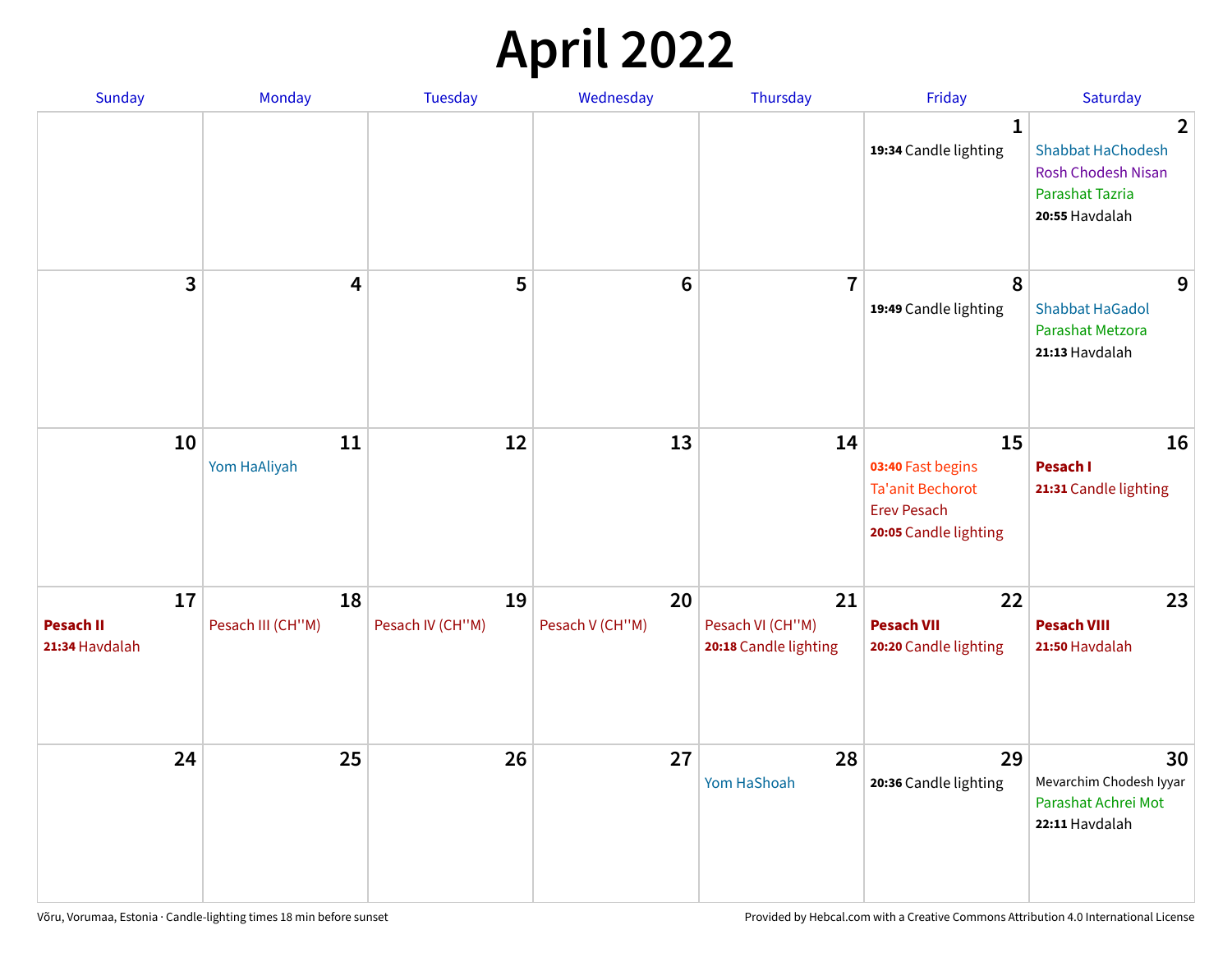## **April 2022**

| Sunday                                   | Monday                  | <b>Tuesday</b>         | Wednesday             | Thursday                                        | Friday                                                                                            | Saturday                                                                                        |
|------------------------------------------|-------------------------|------------------------|-----------------------|-------------------------------------------------|---------------------------------------------------------------------------------------------------|-------------------------------------------------------------------------------------------------|
|                                          |                         |                        |                       |                                                 | $\mathbf{1}$<br>19:34 Candle lighting                                                             | 2<br><b>Shabbat HaChodesh</b><br><b>Rosh Chodesh Nisan</b><br>Parashat Tazria<br>20:55 Havdalah |
| 3                                        | 4                       | 5                      | $6\phantom{1}6$       | $\overline{7}$                                  | 8<br>19:49 Candle lighting                                                                        | 9<br><b>Shabbat HaGadol</b><br>Parashat Metzora<br>21:13 Havdalah                               |
| 10                                       | 11<br>Yom HaAliyah      | 12                     | 13                    | 14                                              | 15<br>03:40 Fast begins<br><b>Ta'anit Bechorot</b><br><b>Erev Pesach</b><br>20:05 Candle lighting | 16<br><b>Pesach I</b><br>21:31 Candle lighting                                                  |
| 17<br><b>Pesach II</b><br>21:34 Havdalah | 18<br>Pesach III (CH"M) | 19<br>Pesach IV (CH"M) | 20<br>Pesach V (CH"M) | 21<br>Pesach VI (CH"M)<br>20:18 Candle lighting | 22<br><b>Pesach VII</b><br>20:20 Candle lighting                                                  | 23<br><b>Pesach VIII</b><br>21:50 Havdalah                                                      |
| 24                                       | 25                      | 26                     | 27                    | 28<br>Yom HaShoah                               | 29<br>20:36 Candle lighting                                                                       | 30<br>Mevarchim Chodesh Iyyar<br>Parashat Achrei Mot<br>22:11 Havdalah                          |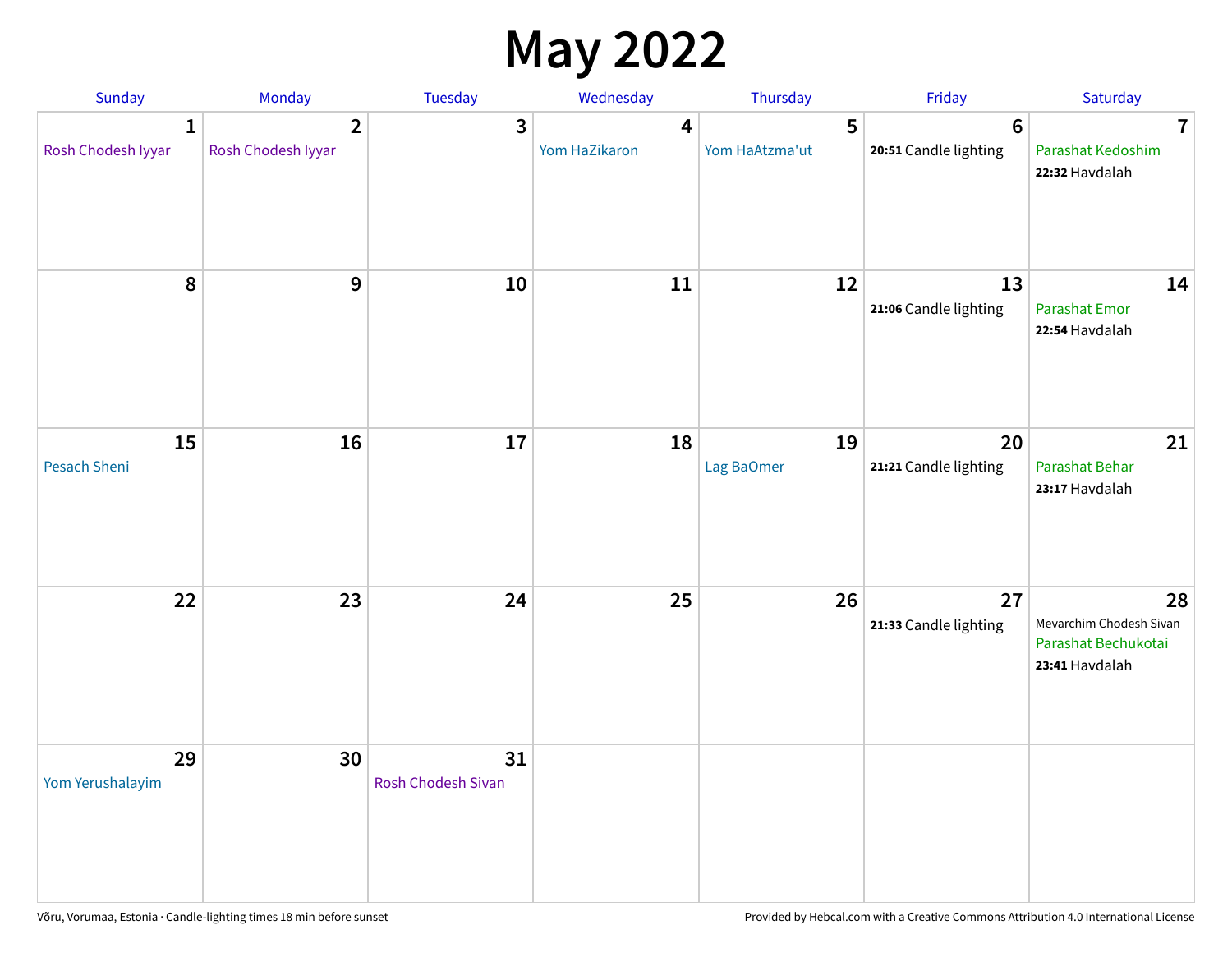## **May 2022**

| Sunday                             | Monday                               | Tuesday                         | Wednesday          | Thursday            | Friday                                   | Saturday                                                               |
|------------------------------------|--------------------------------------|---------------------------------|--------------------|---------------------|------------------------------------------|------------------------------------------------------------------------|
| $\mathbf{1}$<br>Rosh Chodesh Iyyar | $\overline{2}$<br>Rosh Chodesh Iyyar | 3                               | 4<br>Yom HaZikaron | 5<br>Yom HaAtzma'ut | $6\phantom{1}6$<br>20:51 Candle lighting | $\overline{7}$<br>Parashat Kedoshim<br>22:32 Havdalah                  |
| $\pmb{8}$                          | $\mathbf{9}$                         | 10                              | 11                 | 12                  | 13<br>21:06 Candle lighting              | 14<br><b>Parashat Emor</b><br>22:54 Havdalah                           |
| 15<br>Pesach Sheni                 | 16                                   | 17                              | 18                 | 19<br>Lag BaOmer    | 20<br>21:21 Candle lighting              | 21<br>Parashat Behar<br>23:17 Havdalah                                 |
| 22                                 | 23                                   | 24                              | 25                 | 26                  | 27<br>21:33 Candle lighting              | 28<br>Mevarchim Chodesh Sivan<br>Parashat Bechukotai<br>23:41 Havdalah |
| 29<br>Yom Yerushalayim             | 30                                   | 31<br><b>Rosh Chodesh Sivan</b> |                    |                     |                                          |                                                                        |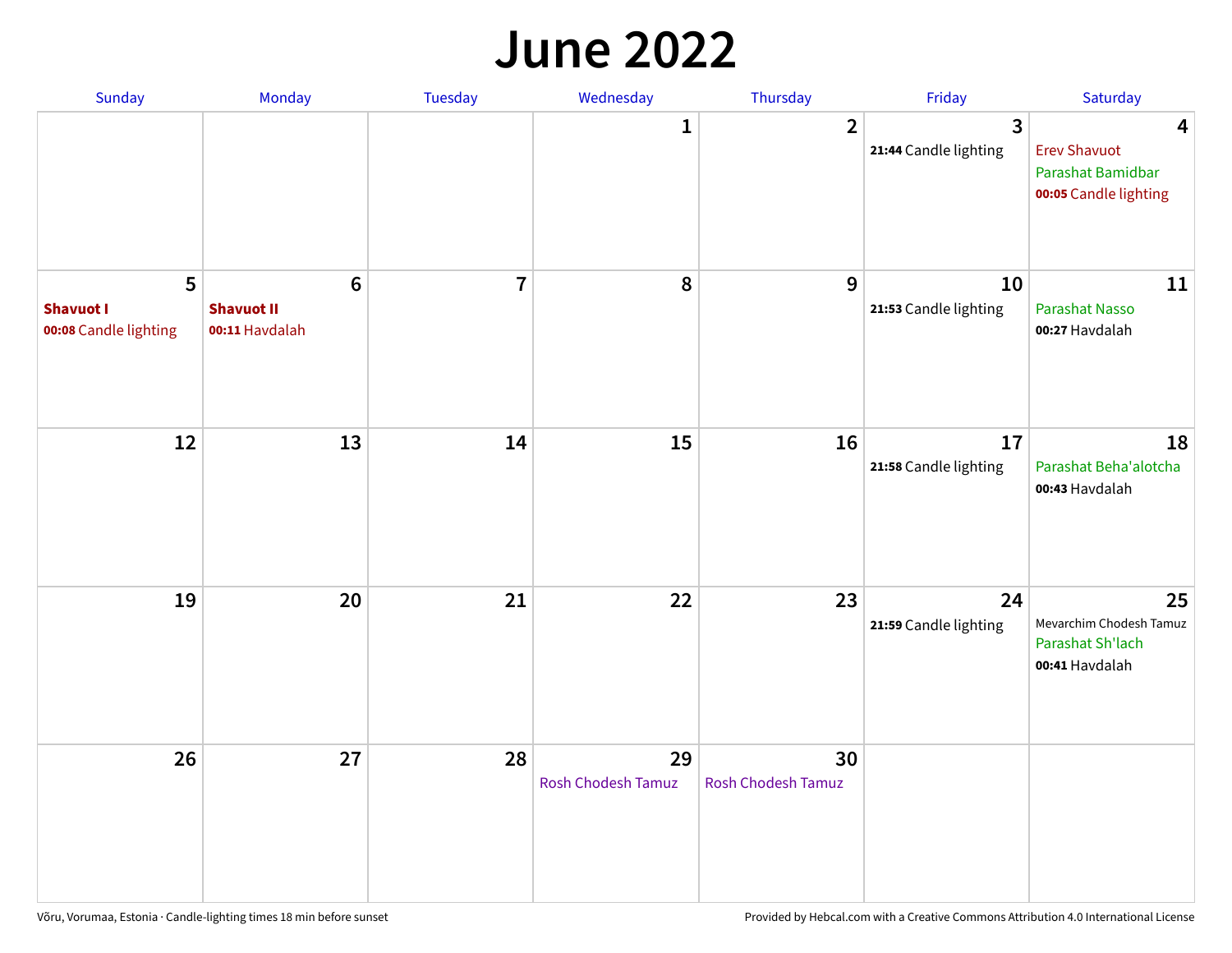#### **June 2022**

| Sunday                                         | Monday                                         | Tuesday        | Wednesday                       | Thursday                 | Friday                      | Saturday                                                                                     |
|------------------------------------------------|------------------------------------------------|----------------|---------------------------------|--------------------------|-----------------------------|----------------------------------------------------------------------------------------------|
|                                                |                                                |                | 1                               | $\overline{2}$           | 3<br>21:44 Candle lighting  | $\overline{\mathbf{4}}$<br><b>Erev Shavuot</b><br>Parashat Bamidbar<br>00:05 Candle lighting |
| 5<br><b>Shavuot I</b><br>00:08 Candle lighting | $\bf 6$<br><b>Shavuot II</b><br>00:11 Havdalah | $\overline{7}$ | 8                               | 9                        | 10<br>21:53 Candle lighting | 11<br>Parashat Nasso<br>00:27 Havdalah                                                       |
| 12                                             | 13                                             | 14             | 15                              | 16                       | 17<br>21:58 Candle lighting | 18<br>Parashat Beha'alotcha<br>00:43 Havdalah                                                |
| 19                                             | 20                                             | 21             | 22                              | 23                       | 24<br>21:59 Candle lighting | 25<br>Mevarchim Chodesh Tamuz<br>Parashat Sh'lach<br>00:41 Havdalah                          |
| 26                                             | 27                                             | 28             | 29<br><b>Rosh Chodesh Tamuz</b> | 30<br>Rosh Chodesh Tamuz |                             |                                                                                              |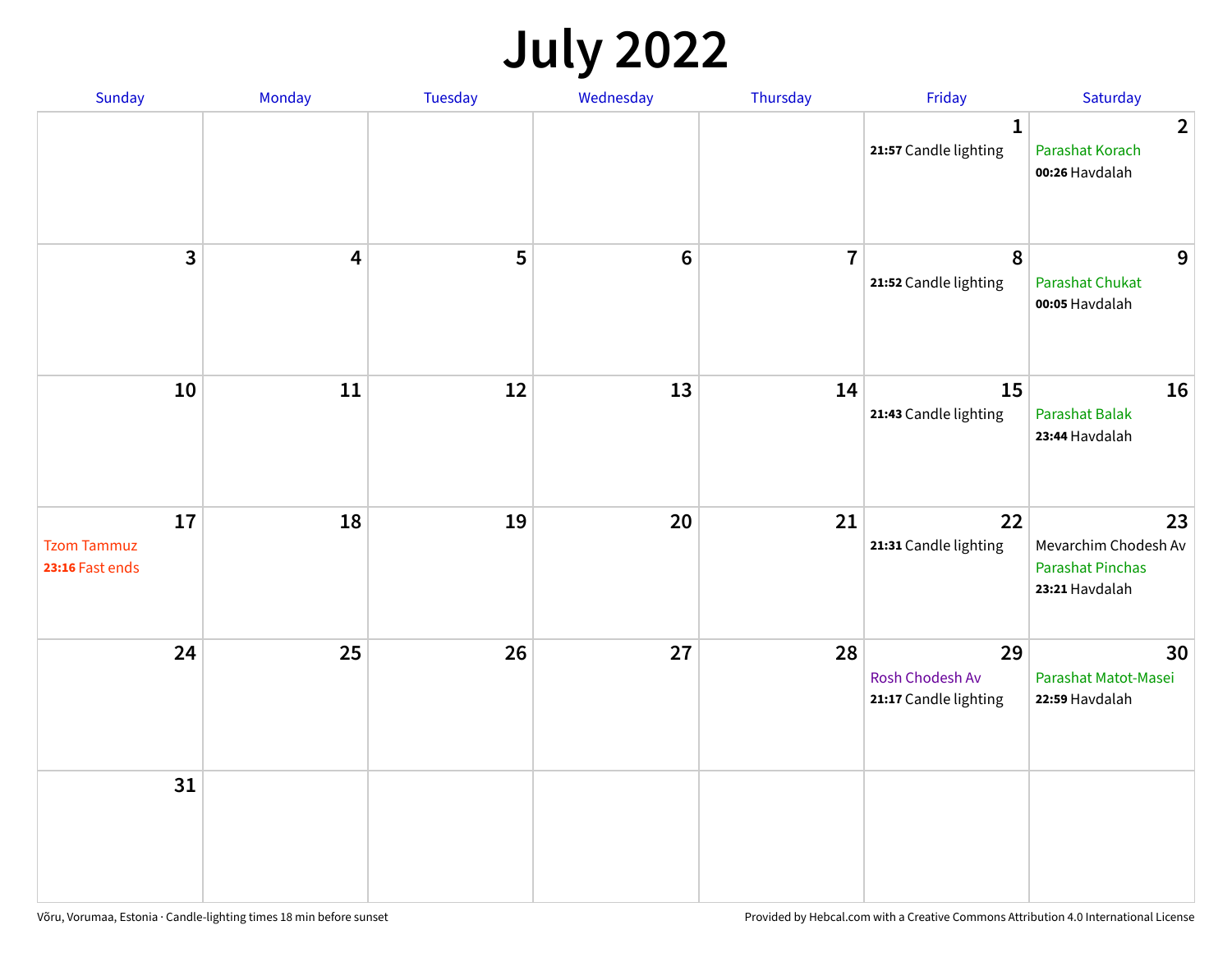## **July 2022**

| Sunday                                      | Monday     | Tuesday | Wednesday      | Thursday       | Friday                                         | Saturday                                                                |
|---------------------------------------------|------------|---------|----------------|----------------|------------------------------------------------|-------------------------------------------------------------------------|
|                                             |            |         |                |                | $\mathbf{1}$<br>21:57 Candle lighting          | $\overline{2}$<br>Parashat Korach<br>00:26 Havdalah                     |
| $\mathbf{3}$                                | 4          | 5       | $6\phantom{1}$ | $\overline{7}$ | 8<br>21:52 Candle lighting                     | 9<br><b>Parashat Chukat</b><br>00:05 Havdalah                           |
| 10                                          | ${\bf 11}$ | 12      | 13             | 14             | 15<br>21:43 Candle lighting                    | 16<br><b>Parashat Balak</b><br>23:44 Havdalah                           |
| 17<br><b>Tzom Tammuz</b><br>23:16 Fast ends | 18         | 19      | 20             | 21             | 22<br>21:31 Candle lighting                    | 23<br>Mevarchim Chodesh Av<br><b>Parashat Pinchas</b><br>23:21 Havdalah |
| 24                                          | 25         | 26      | 27             | 28             | 29<br>Rosh Chodesh Av<br>21:17 Candle lighting | 30<br>Parashat Matot-Masei<br>22:59 Havdalah                            |
| 31                                          |            |         |                |                |                                                |                                                                         |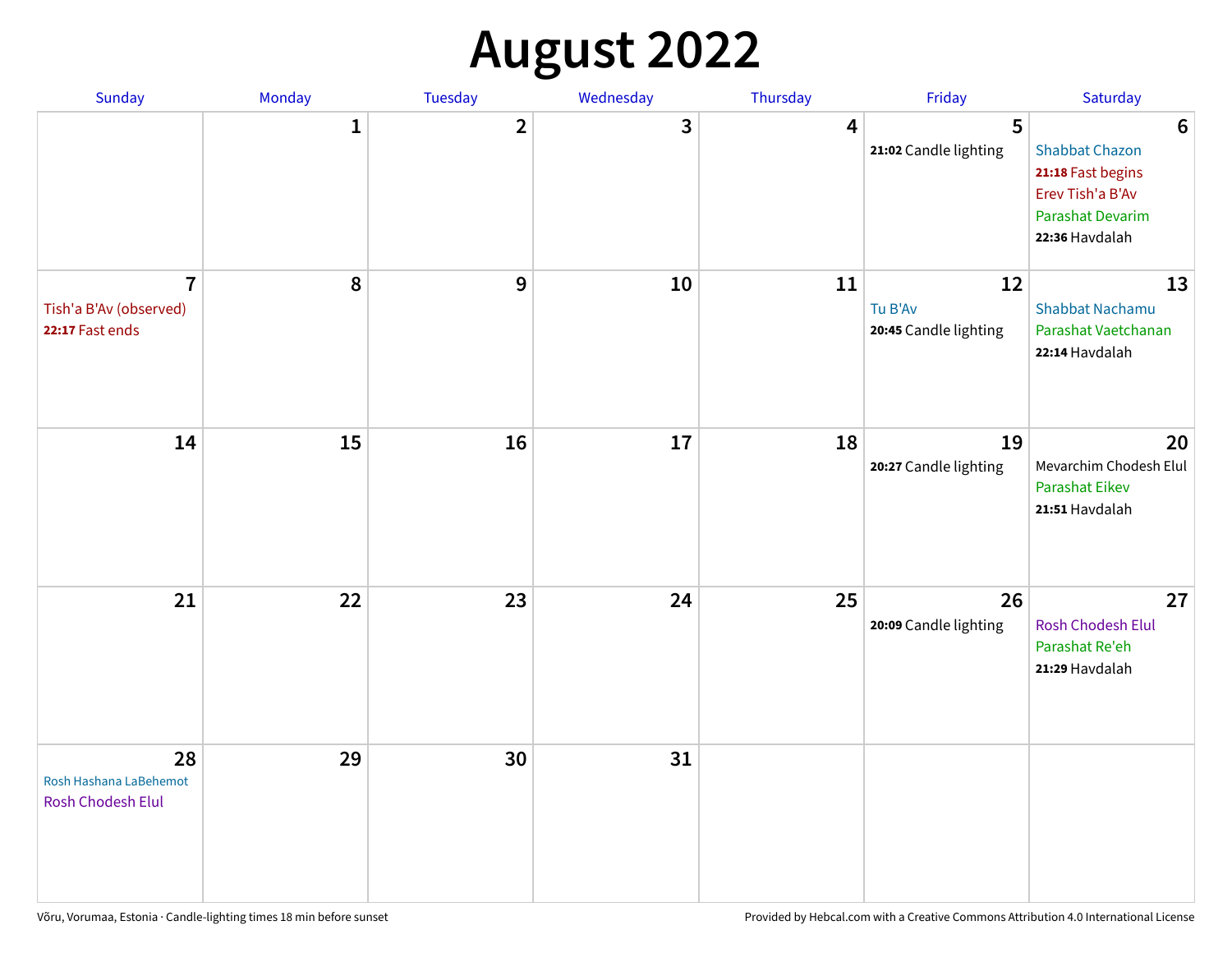## **August 2022**

| Sunday                                                      | Monday       | Tuesday                 | Wednesday | Thursday | Friday                                 | Saturday                                                                                                                       |
|-------------------------------------------------------------|--------------|-------------------------|-----------|----------|----------------------------------------|--------------------------------------------------------------------------------------------------------------------------------|
|                                                             | $\mathbf{1}$ | $\overline{\mathbf{2}}$ | 3         | 4        | 5<br>21:02 Candle lighting             | $6\phantom{1}6$<br><b>Shabbat Chazon</b><br>21:18 Fast begins<br>Erev Tish'a B'Av<br><b>Parashat Devarim</b><br>22:36 Havdalah |
| $\overline{7}$<br>Tish'a B'Av (observed)<br>22:17 Fast ends | 8            | 9                       | 10        | 11       | 12<br>Tu B'Av<br>20:45 Candle lighting | 13<br><b>Shabbat Nachamu</b><br>Parashat Vaetchanan<br>22:14 Havdalah                                                          |
| 14                                                          | 15           | 16                      | 17        | 18       | 19<br>20:27 Candle lighting            | 20<br>Mevarchim Chodesh Elul<br><b>Parashat Eikev</b><br>21:51 Havdalah                                                        |
| 21                                                          | 22           | 23                      | 24        | 25       | 26<br>20:09 Candle lighting            | 27<br><b>Rosh Chodesh Elul</b><br>Parashat Re'eh<br>21:29 Havdalah                                                             |
| 28<br>Rosh Hashana LaBehemot<br>Rosh Chodesh Elul           | 29           | 30                      | 31        |          |                                        |                                                                                                                                |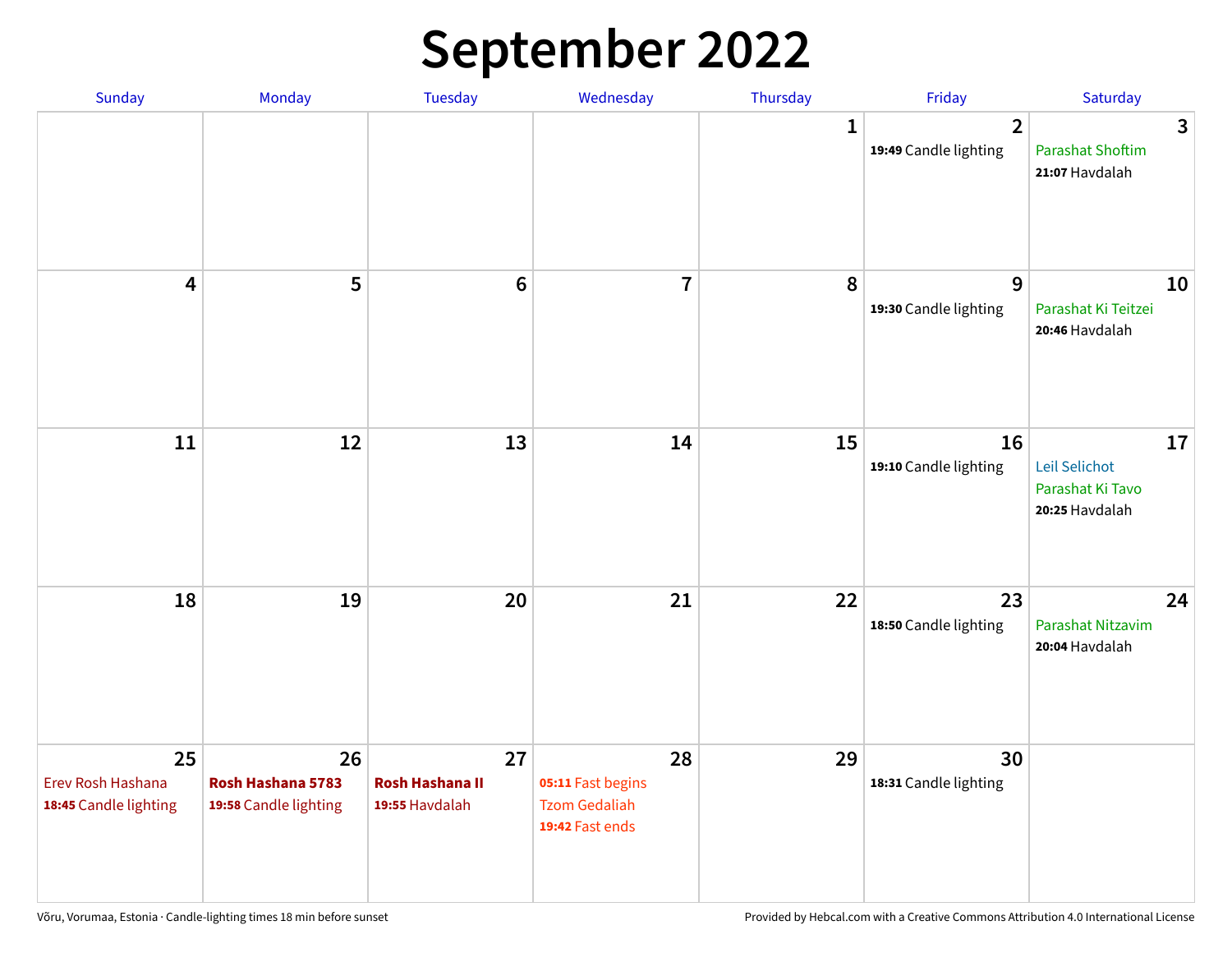## **September 2022**

| Sunday                                           | Monday                                           | <b>Tuesday</b>                                 | Wednesday                                                          | Thursday    | Friday                                  | Saturday                                                  |
|--------------------------------------------------|--------------------------------------------------|------------------------------------------------|--------------------------------------------------------------------|-------------|-----------------------------------------|-----------------------------------------------------------|
|                                                  |                                                  |                                                |                                                                    | $\mathbf 1$ | $\overline{2}$<br>19:49 Candle lighting | 3<br><b>Parashat Shoftim</b><br>21:07 Havdalah            |
| $\overline{\mathbf{4}}$                          | 5                                                | $6\phantom{1}6$                                | $\overline{7}$                                                     | 8           | 9<br>19:30 Candle lighting              | 10<br>Parashat Ki Teitzei<br>20:46 Havdalah               |
| 11                                               | 12                                               | 13                                             | 14                                                                 | 15          | 16<br>19:10 Candle lighting             | 17<br>Leil Selichot<br>Parashat Ki Tavo<br>20:25 Havdalah |
| 18                                               | 19                                               | 20                                             | 21                                                                 | 22          | 23<br>18:50 Candle lighting             | 24<br>Parashat Nitzavim<br>20:04 Havdalah                 |
| 25<br>Erev Rosh Hashana<br>18:45 Candle lighting | 26<br>Rosh Hashana 5783<br>19:58 Candle lighting | 27<br><b>Rosh Hashana II</b><br>19:55 Havdalah | 28<br>05:11 Fast begins<br><b>Tzom Gedaliah</b><br>19:42 Fast ends | 29          | 30<br>18:31 Candle lighting             |                                                           |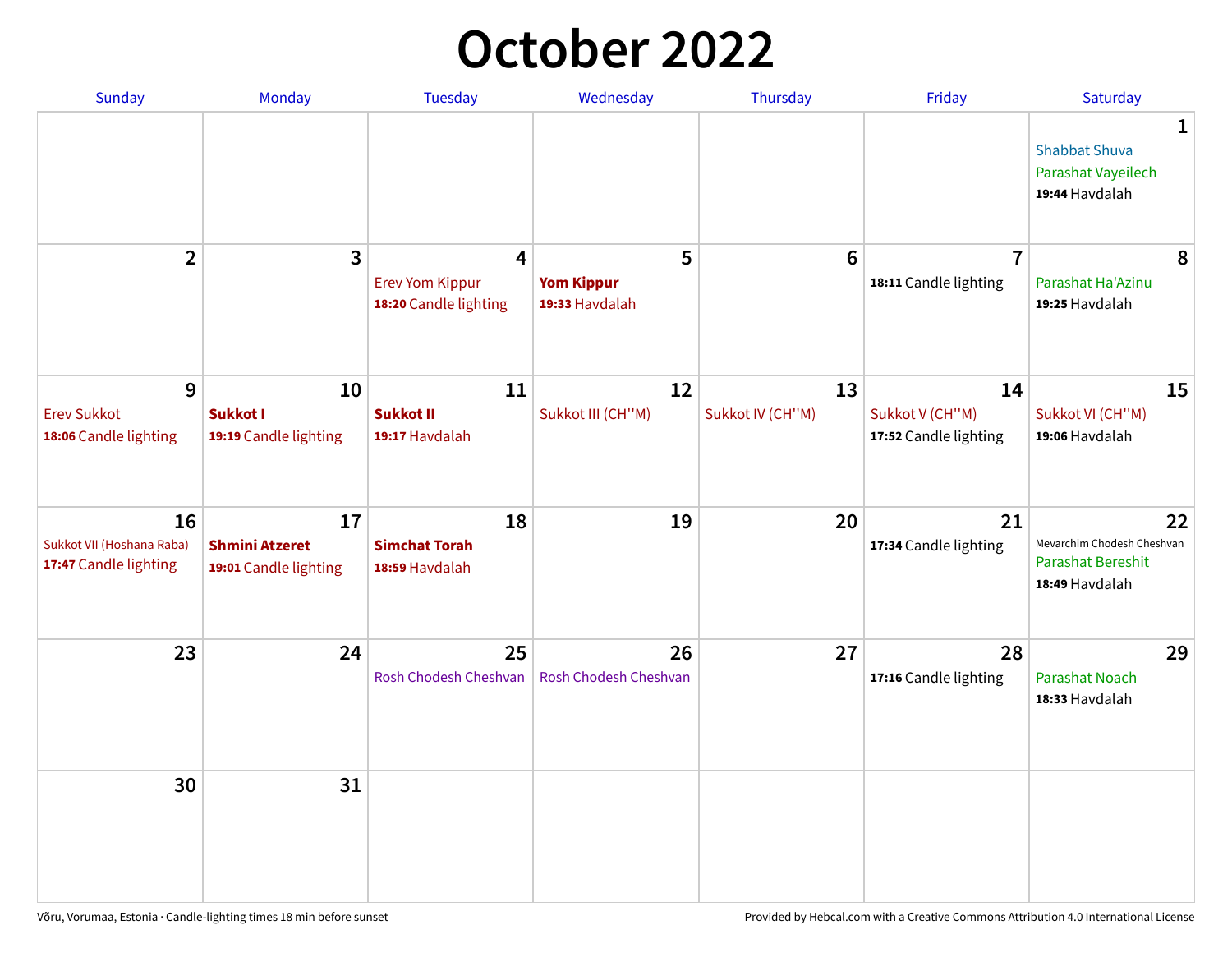## **October 2022**

| Sunday                                                   | Monday                                               | <b>Tuesday</b>                                                    | Wednesday                                | Thursday               | Friday                                         | Saturday                                                                |
|----------------------------------------------------------|------------------------------------------------------|-------------------------------------------------------------------|------------------------------------------|------------------------|------------------------------------------------|-------------------------------------------------------------------------|
|                                                          |                                                      |                                                                   |                                          |                        |                                                | 1<br><b>Shabbat Shuva</b><br>Parashat Vayeilech<br>19:44 Havdalah       |
| $\overline{2}$                                           | $\overline{\mathbf{3}}$                              | $\overline{4}$<br><b>Erev Yom Kippur</b><br>18:20 Candle lighting | 5<br><b>Yom Kippur</b><br>19:33 Havdalah | 6                      | $\overline{7}$<br>18:11 Candle lighting        | 8<br>Parashat Ha'Azinu<br>19:25 Havdalah                                |
| 9<br><b>Erev Sukkot</b><br>18:06 Candle lighting         | 10<br><b>Sukkot I</b><br>19:19 Candle lighting       | 11<br><b>Sukkot II</b><br>19:17 Havdalah                          | 12<br>Sukkot III (CH"M)                  | 13<br>Sukkot IV (CH"M) | 14<br>Sukkot V (CH"M)<br>17:52 Candle lighting | 15<br>Sukkot VI (CH"M)<br>19:06 Havdalah                                |
| 16<br>Sukkot VII (Hoshana Raba)<br>17:47 Candle lighting | 17<br><b>Shmini Atzeret</b><br>19:01 Candle lighting | 18<br><b>Simchat Torah</b><br>18:59 Havdalah                      | 19                                       | 20                     | 21<br>17:34 Candle lighting                    | 22<br>Mevarchim Chodesh Cheshvan<br>Parashat Bereshit<br>18:49 Havdalah |
| 23                                                       | 24                                                   | 25<br>Rosh Chodesh Cheshvan                                       | 26<br>Rosh Chodesh Cheshvan              | 27                     | 28<br>17:16 Candle lighting                    | 29<br><b>Parashat Noach</b><br>18:33 Havdalah                           |
| 30                                                       | 31                                                   |                                                                   |                                          |                        |                                                |                                                                         |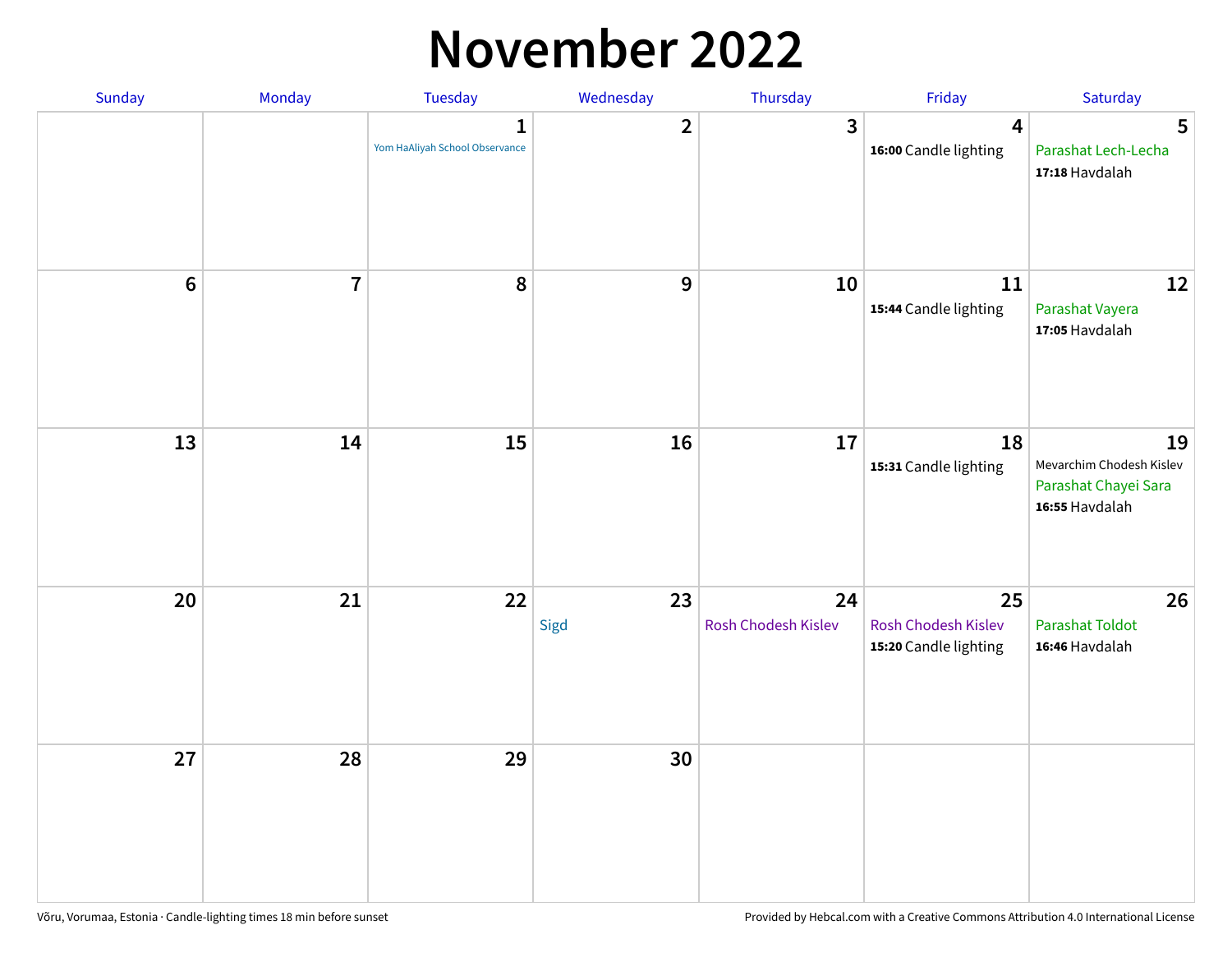#### **November 2022**

| Sunday         | Monday         | <b>Tuesday</b>                                 | Wednesday        | Thursday                  | Friday                                             | Saturday                                                                 |
|----------------|----------------|------------------------------------------------|------------------|---------------------------|----------------------------------------------------|--------------------------------------------------------------------------|
|                |                | $\mathbf{1}$<br>Yom HaAliyah School Observance | $\mathbf{2}$     | $\mathbf{3}$              | $\overline{\mathbf{4}}$<br>16:00 Candle lighting   | 5<br>Parashat Lech-Lecha<br>17:18 Havdalah                               |
| $6\phantom{a}$ | $\overline{7}$ | 8                                              | $\boldsymbol{9}$ | 10                        | 11<br>15:44 Candle lighting                        | 12<br>Parashat Vayera<br>17:05 Havdalah                                  |
| 13             | 14             | 15                                             | 16               | 17                        | 18<br>15:31 Candle lighting                        | 19<br>Mevarchim Chodesh Kislev<br>Parashat Chayei Sara<br>16:55 Havdalah |
| 20             | 21             | 22                                             | 23<br>Sigd       | 24<br>Rosh Chodesh Kislev | 25<br>Rosh Chodesh Kislev<br>15:20 Candle lighting | 26<br><b>Parashat Toldot</b><br>16:46 Havdalah                           |
| 27             | 28             | 29                                             | 30               |                           |                                                    |                                                                          |